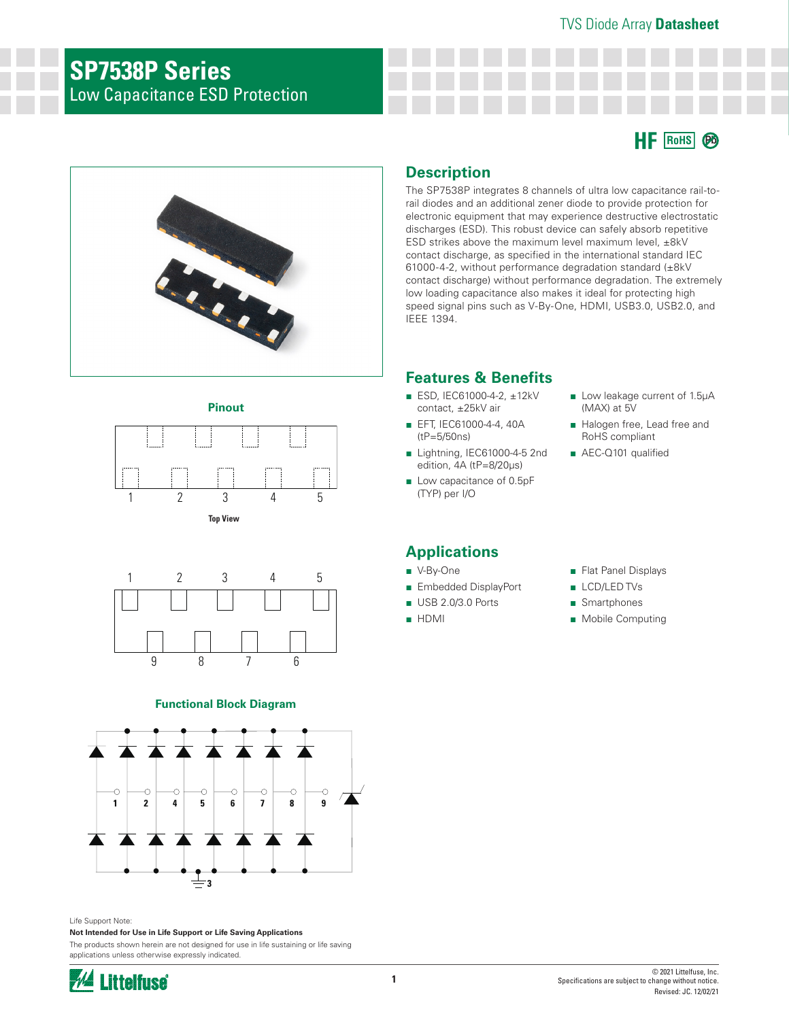## **SP7538P Series** Low Capacitance ESD Protection











### **Functional Block Diagram**



### Life Support Note:

**Not Intended for Use in Life Support or Life Saving Applications**

The products shown herein are not designed for use in life sustaining or life saving applications unless otherwise expressly indicated.



### **Description**

The SP7538P integrates 8 channels of ultra low capacitance rail-torail diodes and an additional zener diode to provide protection for electronic equipment that may experience destructive electrostatic discharges (ESD). This robust device can safely absorb repetitive ESD strikes above the maximum level maximum level, ±8kV contact discharge, as specified in the international standard IEC 61000-4-2, without performance degradation standard (±8kV contact discharge) without performance degradation. The extremely low loading capacitance also makes it ideal for protecting high speed signal pins such as V-By-One, HDMI, USB3.0, USB2.0, and IEEE 1394.

## **Features & Benefits**

- ESD, IEC61000-4-2, ±12kV contact, ±25kV air
- EFT, IEC61000-4-4, 40A (tP=5/50ns)
- Lightning, IEC61000-4-5 2nd edition, 4A (tP=8/20μs)
- Low capacitance of 0.5pF (TYP) per I/O

### **Applications**

- V-By-One
- Embedded DisplayPort
- USB 2.0/3.0 Ports
- HDMI

■ Low leakage current of 1.5µA

■ Halogen free, Lead free and RoHS compliant ■ AEC-Q101 qualified

(MAX) at 5V

- Flat Panel Displays
- LCD/LED TVs
- Smartphones
- Mobile Computing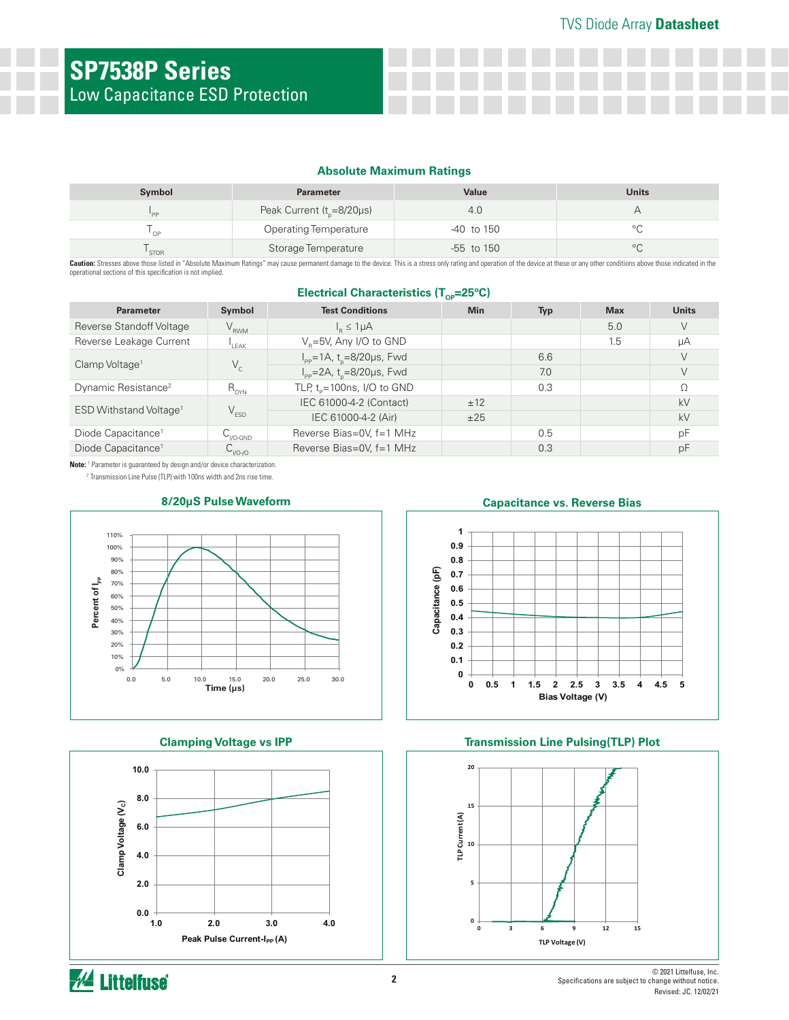### **Absolute Maximum Ratings**

| Symbol      | <b>Parameter</b>                | Value          | <b>Units</b>   |
|-------------|---------------------------------|----------------|----------------|
| <b>DD</b>   | Peak Current ( $t_{p}$ =8/20µs) | .4.U           |                |
| '∩P         | <b>Operating Temperature</b>    | $-40$ to 150   | $\circ$ $\cap$ |
| <b>STOR</b> | Storage Temperature             | $-55$ to $150$ | $\circ$        |

Caution: Stresses above those listed in "Absolute Maximum Ratings" may cause permanent damage to the device. This is a stress only rating and operation of the device at these or any other conditions above those indicated i operational sections of this specification is not implied.

### **Electrical Characteristics (T<sub>OP</sub>=25°C)**

| <b>Parameter</b>                   | Symbol                                   | <b>Test Conditions</b>                             | <b>Min</b> | <b>Typ</b> | <b>Max</b> | <b>Units</b> |
|------------------------------------|------------------------------------------|----------------------------------------------------|------------|------------|------------|--------------|
| Reverse Standoff Voltage           | $V_{RWM}$                                | $I_p \leq 1 \mu A$                                 |            |            | 5.0        | V            |
| Reverse Leakage Current            | LEAK                                     | V <sub>B</sub> =5V, Any I/O to GND                 |            |            | 1.5        | μA           |
| Clamp Voltage <sup>1</sup>         | $V_c$                                    | $I_{\text{pp}} = 1A$ , t <sub>n</sub> =8/20µs, Fwd |            | 6.6        |            | V            |
|                                    |                                          | $I_{\text{pp}} = 2A$ , t <sub>n</sub> =8/20µs, Fwd |            | 7.0        |            | $\vee$       |
| Dynamic Resistance <sup>2</sup>    | $R_{DYN}$                                | TLP, $t_p = 100$ ns, I/O to GND                    |            | 0.3        |            | Ω            |
| ESD Withstand Voltage <sup>1</sup> | $V_{ESD}$                                | IEC 61000-4-2 (Contact)                            | ±12        |            |            | kV           |
|                                    |                                          | IEC 61000-4-2 (Air)                                | ±25        |            |            | kV           |
| Diode Capacitance <sup>1</sup>     | $\mathsf{C}_{_{\mathsf{IO}\text{-GND}}}$ | Reverse Bias=0V, f=1 MHz                           |            | 0.5        |            | pF           |
| Diode Capacitance <sup>1</sup>     | $C_{1/0-1/0}$                            | Reverse Bias=0V, f=1 MHz                           |            | 0.3        |            | рF           |

**Note:** <sup>1</sup> Parameter is guaranteed by design and/or device characterization.

2 Transmission Line Pulse (TLP) with 100ns width and 2ns rise time.



### **Clamping Voltage vs IPP**



### **Capacitance vs. Reverse Bias**



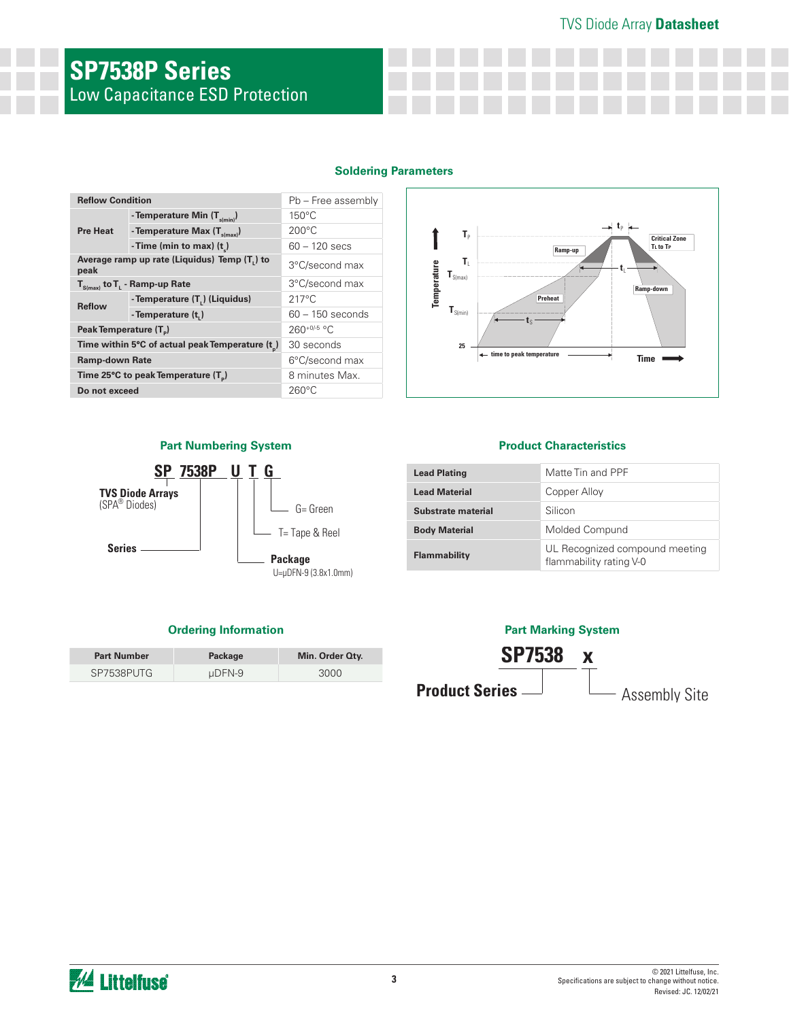# **SP7538P Series** Low Capacitance ESD Protection

| <b>Reflow Condition</b>            |                                                              | Pb - Free assembly |  |  |  |
|------------------------------------|--------------------------------------------------------------|--------------------|--|--|--|
| <b>Pre Heat</b>                    | - Temperature Min $(T_{\text{s/min}})$                       | $150^{\circ}$ C    |  |  |  |
|                                    | - Temperature Max $(T_{s(max)})$                             | $200^{\circ}$ C    |  |  |  |
|                                    | - Time (min to max) $(t_$ )                                  | $60 - 120$ secs    |  |  |  |
| peak                               | Average ramp up rate (Liquidus) Temp (T,) to                 | 3°C/second max     |  |  |  |
|                                    | $T_{\rm s(max)}$ to $T_{\rm L}$ - Ramp-up Rate               | 3°C/second max     |  |  |  |
| <b>Reflow</b>                      | - Temperature (T <sub>L</sub> ) (Liquidus)                   | $217^{\circ}$ C    |  |  |  |
|                                    | - Temperature (t,)                                           | $60 - 150$ seconds |  |  |  |
| Peak Temperature (T <sub>a</sub> ) |                                                              | $260^{+0/5}$ °C    |  |  |  |
|                                    | Time within 5°C of actual peak Temperature (t <sub>n</sub> ) | 30 seconds         |  |  |  |
| <b>Ramp-down Rate</b>              |                                                              | 6°C/second max     |  |  |  |
|                                    | Time 25°C to peak Temperature (T <sub>a</sub> )              | 8 minutes Max.     |  |  |  |
| Do not exceed                      |                                                              | $260^{\circ}$ C    |  |  |  |



### **Part Numbering System**



| <b>Part Number</b> | Package     | Min. Order Qty. |
|--------------------|-------------|-----------------|
| SP7538PUTG         | $\mu$ DFN-9 | 3000            |

### **Product Characteristics**

| <b>Lead Plating</b>  | Matte Tin and PPF                                         |
|----------------------|-----------------------------------------------------------|
| <b>Lead Material</b> | Copper Alloy                                              |
| Substrate material   | Silicon                                                   |
| <b>Body Material</b> | Molded Compund                                            |
| Flammability         | UL Recognized compound meeting<br>flammability rating V-0 |